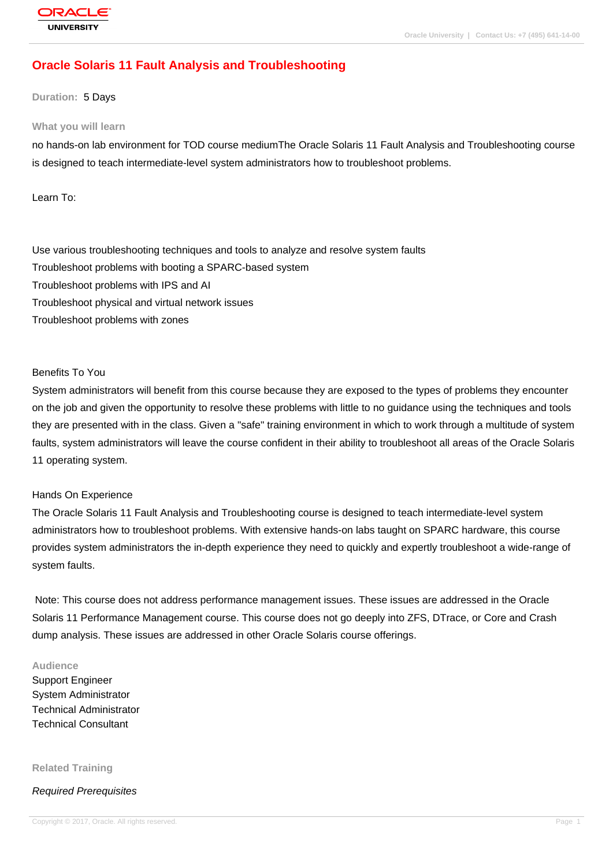# **[Oracle Solaris](http://education.oracle.com/pls/web_prod-plq-dad/db_pages.getpage?page_id=3) 11 Fault Analysis and Troubleshooting**

#### **Duration:** 5 Days

#### **What you will learn**

no hands-on lab environment for TOD course mediumThe Oracle Solaris 11 Fault Analysis and Troubleshooting course is designed to teach intermediate-level system administrators how to troubleshoot problems.

Learn To:

Use various troubleshooting techniques and tools to analyze and resolve system faults Troubleshoot problems with booting a SPARC-based system Troubleshoot problems with IPS and AI Troubleshoot physical and virtual network issues Troubleshoot problems with zones

#### Benefits To You

System administrators will benefit from this course because they are exposed to the types of problems they encounter on the job and given the opportunity to resolve these problems with little to no guidance using the techniques and tools they are presented with in the class. Given a "safe" training environment in which to work through a multitude of system faults, system administrators will leave the course confident in their ability to troubleshoot all areas of the Oracle Solaris 11 operating system.

#### Hands On Experience

The Oracle Solaris 11 Fault Analysis and Troubleshooting course is designed to teach intermediate-level system administrators how to troubleshoot problems. With extensive hands-on labs taught on SPARC hardware, this course provides system administrators the in-depth experience they need to quickly and expertly troubleshoot a wide-range of system faults.

 Note: This course does not address performance management issues. These issues are addressed in the Oracle Solaris 11 Performance Management course. This course does not go deeply into ZFS, DTrace, or Core and Crash dump analysis. These issues are addressed in other Oracle Solaris course offerings.

#### **Audience**

Support Engineer System Administrator Technical Administrator Technical Consultant

#### **Related Training**

#### Required Prerequisites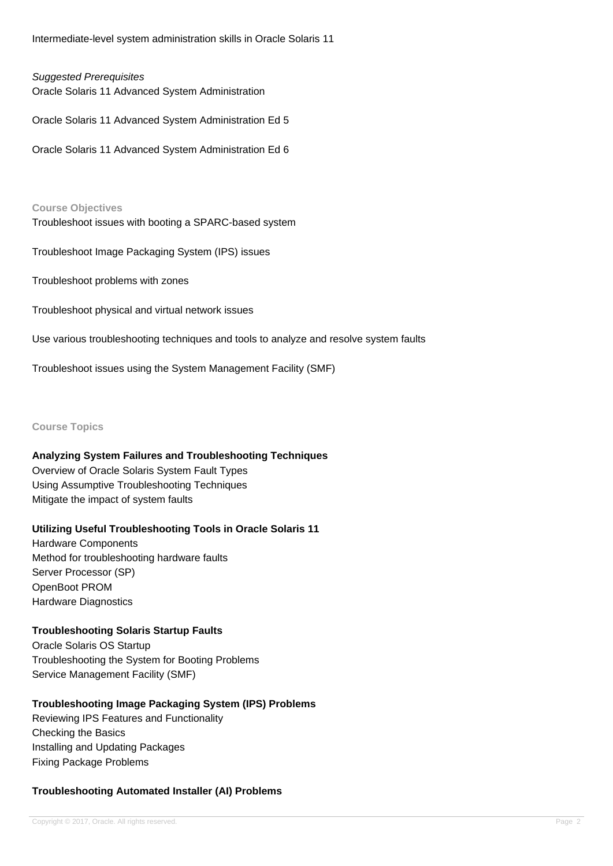Intermediate-level system administration skills in Oracle Solaris 11

#### Suggested Prerequisites

Oracle Solaris 11 Advanced System Administration

Oracle Solaris 11 Advanced System Administration Ed 5

Oracle Solaris 11 Advanced System Administration Ed 6

**Course Objectives** Troubleshoot issues with booting a SPARC-based system

Troubleshoot Image Packaging System (IPS) issues

Troubleshoot problems with zones

Troubleshoot physical and virtual network issues

Use various troubleshooting techniques and tools to analyze and resolve system faults

Troubleshoot issues using the System Management Facility (SMF)

**Course Topics**

## **Analyzing System Failures and Troubleshooting Techniques**

Overview of Oracle Solaris System Fault Types Using Assumptive Troubleshooting Techniques Mitigate the impact of system faults

## **Utilizing Useful Troubleshooting Tools in Oracle Solaris 11**

Hardware Components Method for troubleshooting hardware faults Server Processor (SP) OpenBoot PROM Hardware Diagnostics

**Troubleshooting Solaris Startup Faults** Oracle Solaris OS Startup Troubleshooting the System for Booting Problems Service Management Facility (SMF)

## **Troubleshooting Image Packaging System (IPS) Problems**

Reviewing IPS Features and Functionality Checking the Basics Installing and Updating Packages Fixing Package Problems

## **Troubleshooting Automated Installer (AI) Problems**